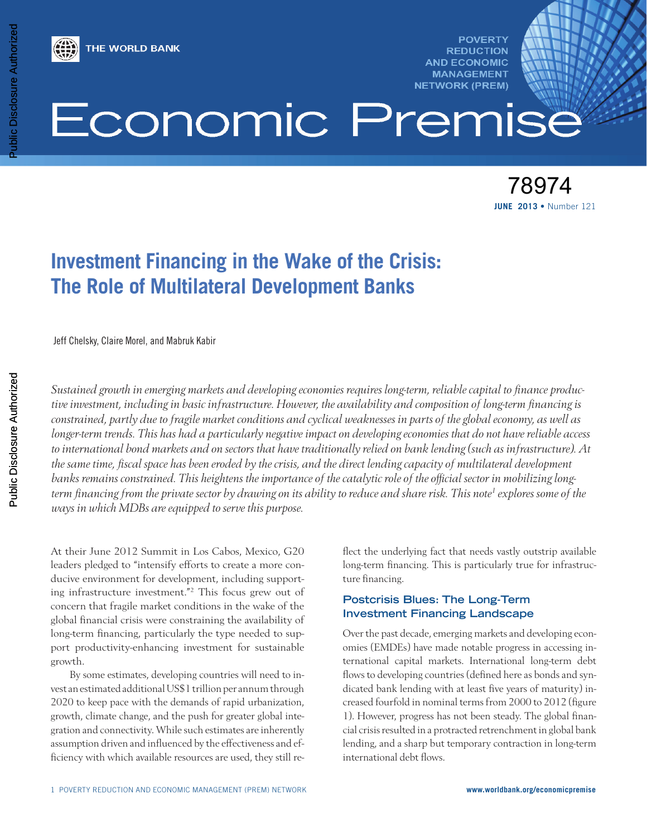

**POVERTY REDUCTION AND ECONOMIC MANAGEMENT NETWORK (PREM)** 

# Economic Premise

**JUNE 2013 •** Number 121 78974

# **Investment Financing in the Wake of the Crisis: The Role of Multilateral Development Banks**

Jeff Chelsky, Claire Morel, and Mabruk Kabir

*Sustained growth in emerging markets and developing economies requires long-term, reliable capital to finance productive investment, including in basic infrastructure. However, the availability and composition of long-term financing is constrained, partly due to fragile market conditions and cyclical weaknesses in parts of the global economy, as well as longer-term trends. This has had a particularly negative impact on developing economies that do not have reliable access to international bond markets and on sectors that have traditionally relied on bank lending (such as infrastructure). At the same time, fiscal space has been eroded by the crisis, and the direct lending capacity of multilateral development banks remains constrained. This heightens the importance of the catalytic role of the official sector in mobilizing long*term financing from the private sector by drawing on its ability to reduce and share risk. This note<sup>1</sup> explores some of the *ways in which MDBs are equipped to serve this purpose.*

At their June 2012 Summit in Los Cabos, Mexico, G20 leaders pledged to "intensify efforts to create a more conducive environment for development, including supporting infrastructure investment."2 This focus grew out of concern that fragile market conditions in the wake of the global financial crisis were constraining the availability of long-term financing, particularly the type needed to support productivity-enhancing investment for sustainable growth.

By some estimates, developing countries will need to invest an estimated additional US\$1 trillion per annum through 2020 to keep pace with the demands of rapid urbanization, growth, climate change, and the push for greater global integration and connectivity. While such estimates are inherently assumption driven and influenced by the effectiveness and efficiency with which available resources are used, they still reflect the underlying fact that needs vastly outstrip available long-term financing. This is particularly true for infrastructure financing.

# **Postcrisis Blues: The Long-Term Investment Financing Landscape**

Over the past decade, emerging markets and developing economies (EMDEs) have made notable progress in accessing international capital markets. International long-term debt flows to developing countries (defined here as bonds and syndicated bank lending with at least five years of maturity) increased fourfold in nominal terms from 2000 to 2012 (figure 1). However, progress has not been steady. The global financial crisis resulted in a protracted retrenchment in global bank lending, and a sharp but temporary contraction in long-term international debt flows.

Public Disclosure Authorized

Public Disclosure Authorized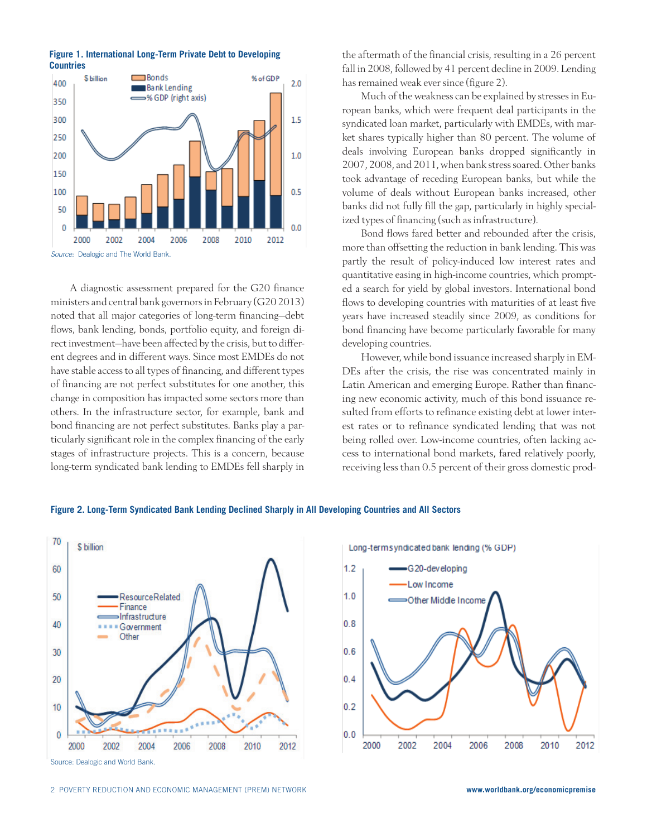**Figure 1. International Long-Term Private Debt to Developing Countries**



A diagnostic assessment prepared for the G20 finance ministers and central bank governors in February (G20 2013) noted that all major categories of long-term financing—debt flows, bank lending, bonds, portfolio equity, and foreign direct investment—have been affected by the crisis, but to different degrees and in different ways. Since most EMDEs do not have stable access to all types of financing, and different types of financing are not perfect substitutes for one another, this change in composition has impacted some sectors more than others. In the infrastructure sector, for example, bank and bond financing are not perfect substitutes. Banks play a particularly significant role in the complex financing of the early stages of infrastructure projects. This is a concern, because long-term syndicated bank lending to EMDEs fell sharply in

the aftermath of the financial crisis, resulting in a 26 percent fall in 2008, followed by 41 percent decline in 2009. Lending has remained weak ever since (figure 2).

Much of the weakness can be explained by stresses in European banks, which were frequent deal participants in the syndicated loan market, particularly with EMDEs, with market shares typically higher than 80 percent. The volume of deals involving European banks dropped significantly in 2007, 2008, and 2011, when bank stress soared. Other banks took advantage of receding European banks, but while the volume of deals without European banks increased, other banks did not fully fill the gap, particularly in highly specialized types of financing (such as infrastructure).

Bond flows fared better and rebounded after the crisis, more than offsetting the reduction in bank lending. This was partly the result of policy-induced low interest rates and quantitative easing in high-income countries, which prompted a search for yield by global investors. International bond flows to developing countries with maturities of at least five years have increased steadily since 2009, as conditions for bond financing have become particularly favorable for many developing countries.

However, while bond issuance increased sharply in EM-DEs after the crisis, the rise was concentrated mainly in Latin American and emerging Europe. Rather than financing new economic activity, much of this bond issuance resulted from efforts to refinance existing debt at lower interest rates or to refinance syndicated lending that was not being rolled over. Low-income countries, often lacking access to international bond markets, fared relatively poorly, receiving less than 0.5 percent of their gross domestic prod-





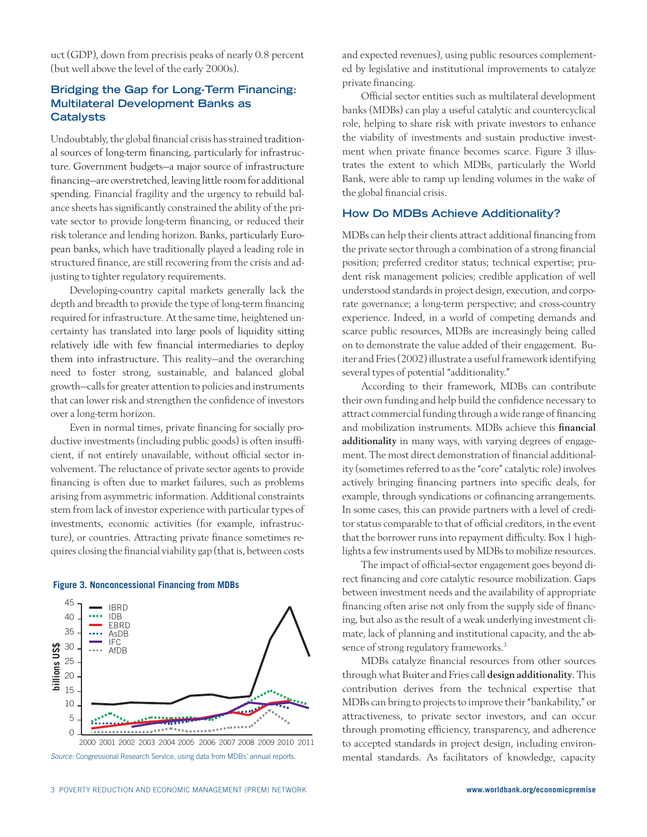uct (GDP), down from precrisis peaks of nearly 0.8 percent (but well above the level of the early 2000s).

# **Bridging the Gap for Long-Term Financing: Multilateral Development Banks as Catalysts**

Undoubtably, the global financial crisis has strained traditional sources of long-term financing, particularly for infrastructure. Government budgets—a major source of infrastructure financing—are overstretched, leaving little room for additional spending. Financial fragility and the urgency to rebuild balance sheets has significantly constrained the ability of the private sector to provide long-term financing, or reduced their risk tolerance and lending horizon. Banks, particularly European banks, which have traditionally played a leading role in structured finance, are still recovering from the crisis and adjusting to tighter regulatory requirements.

Developing-country capital markets generally lack the depth and breadth to provide the type of long-term financing required for infrastructure. At the same time, heightened uncertainty has translated into large pools of liquidity sitting relatively idle with few financial intermediaries to deploy them into infrastructure. This reality—and the overarching need to foster strong, sustainable, and balanced global growth—calls for greater attention to policies and instruments that can lower risk and strengthen the confidence of investors over a long-term horizon.

Even in normal times, private financing for socially productive investments (including public goods) is often insufficient, if not entirely unavailable, without official sector involvement. The reluctance of private sector agents to provide financing is often due to market failures, such as problems arising from asymmetric information. Additional constraints stem from lack of investor experience with particular types of investments, economic activities (for example, infrastructure), or countries. Attracting private finance sometimes requires closing the financial viability gap (that is, between costs



#### **Figure 3. Nonconcessional Financing from MDBs**

*Source:* Congressional Research Service, using data from MDBs' annual reports.

and expected revenues), using public resources complemented by legislative and institutional improvements to catalyze private financing.

Official sector entities such as multilateral development banks (MDBs) can play a useful catalytic and countercyclical role, helping to share risk with private investors to enhance the viability of investments and sustain productive investment when private finance becomes scarce. Figure 3 illustrates the extent to which MDBs, particularly the World Bank, were able to ramp up lending volumes in the wake of the global financial crisis.

#### **How Do MDBs Achieve Additionality?**

MDBs can help their clients attract additional financing from the private sector through a combination of a strong financial position; preferred creditor status; technical expertise; prudent risk management policies; credible application of well understood standards in project design, execution, and corporate governance; a long-term perspective; and cross-country experience. Indeed, in a world of competing demands and scarce public resources, MDBs are increasingly being called on to demonstrate the value added of their engagement. Buiter and Fries (2002) illustrate a useful framework identifying several types of potential "additionality."

According to their framework, MDBs can contribute their own funding and help build the confidence necessary to attract commercial funding through a wide range of financing and mobilization instruments. MDBs achieve this financial additionality in many ways, with varying degrees of engagement. The most direct demonstration of financial additionality (sometimes referred to as the "core" catalytic role) involves actively bringing financing partners into specific deals, for example, through syndications or cofinancing arrangements. In some cases, this can provide partners with a level of creditor status comparable to that of official creditors, in the event that the borrower runs into repayment difficulty. Box 1 highlights a few instruments used by MDBs to mobilize resources.

The impact of official-sector engagement goes beyond direct financing and core catalytic resource mobilization. Gaps between investment needs and the availability of appropriate financing often arise not only from the supply side of financing, but also as the result of a weak underlying investment climate, lack of planning and institutional capacity, and the absence of strong regulatory frameworks.<sup>3</sup>

MDBs catalyze financial resources from other sources through what Buiter and Fries call design additionality. This contribution derives from the technical expertise that MDBs can bring to projects to improve their "bankability," or attractiveness, to private sector investors, and can occur through promoting efficiency, transparency, and adherence to accepted standards in project design, including environmental standards. As facilitators of knowledge, capacity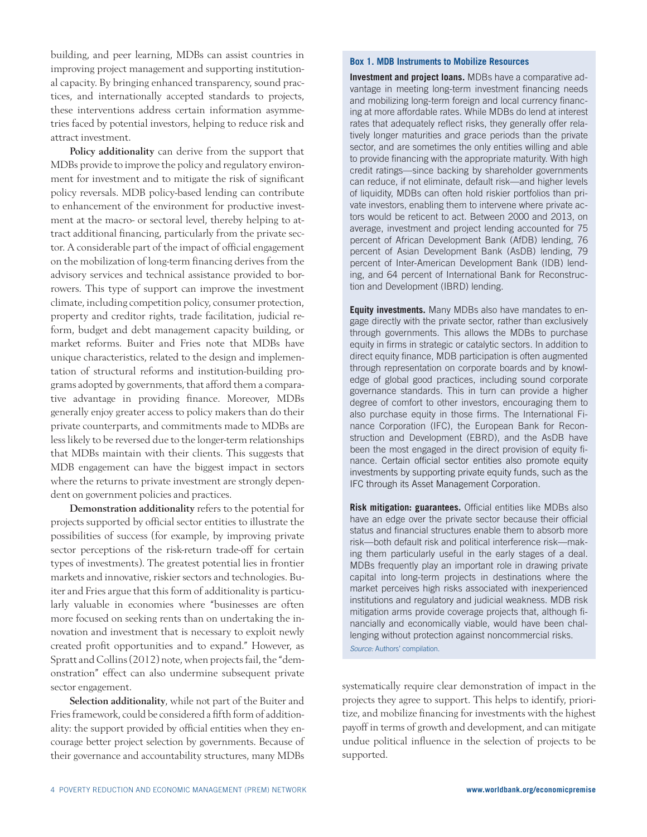building, and peer learning, MDBs can assist countries in improving project management and supporting institutional capacity. By bringing enhanced transparency, sound practices, and internationally accepted standards to projects, these interventions address certain information asymmetries faced by potential investors, helping to reduce risk and attract investment.

Policy additionality can derive from the support that MDBs provide to improve the policy and regulatory environment for investment and to mitigate the risk of significant policy reversals. MDB policy-based lending can contribute to enhancement of the environment for productive investment at the macro- or sectoral level, thereby helping to attract additional financing, particularly from the private sector. A considerable part of the impact of official engagement on the mobilization of long-term financing derives from the advisory services and technical assistance provided to borrowers. This type of support can improve the investment climate, including competition policy, consumer protection, property and creditor rights, trade facilitation, judicial reform, budget and debt management capacity building, or market reforms. Buiter and Fries note that MDBs have unique characteristics, related to the design and implementation of structural reforms and institution-building programs adopted by governments, that afford them a comparative advantage in providing finance. Moreover, MDBs generally enjoy greater access to policy makers than do their private counterparts, and commitments made to MDBs are less likely to be reversed due to the longer-term relationships that MDBs maintain with their clients. This suggests that MDB engagement can have the biggest impact in sectors where the returns to private investment are strongly dependent on government policies and practices.

Demonstration additionality refers to the potential for projects supported by official sector entities to illustrate the possibilities of success (for example, by improving private sector perceptions of the risk-return trade-off for certain types of investments). The greatest potential lies in frontier markets and innovative, riskier sectors and technologies. Buiter and Fries argue that this form of additionality is particularly valuable in economies where "businesses are often more focused on seeking rents than on undertaking the innovation and investment that is necessary to exploit newly created profit opportunities and to expand." However, as Spratt and Collins (2012) note, when projects fail, the "demonstration" effect can also undermine subsequent private sector engagement.

Selection additionality, while not part of the Buiter and Fries framework, could be considered a fifth form of additionality: the support provided by official entities when they encourage better project selection by governments. Because of their governance and accountability structures, many MDBs

#### **Box 1. MDB Instruments to Mobilize Resources**

**Investment and project loans.** MDBs have a comparative advantage in meeting long-term investment financing needs and mobilizing long-term foreign and local currency financing at more affordable rates. While MDBs do lend at interest rates that adequately reflect risks, they generally offer relatively longer maturities and grace periods than the private sector, and are sometimes the only entities willing and able to provide financing with the appropriate maturity. With high credit ratings—since backing by shareholder governments can reduce, if not eliminate, default risk—and higher levels of liquidity, MDBs can often hold riskier portfolios than private investors, enabling them to intervene where private actors would be reticent to act. Between 2000 and 2013, on average, investment and project lending accounted for 75 percent of African Development Bank (AfDB) lending, 76 percent of Asian Development Bank (AsDB) lending, 79 percent of Inter-American Development Bank (IDB) lending, and 64 percent of International Bank for Reconstruction and Development (IBRD) lending.

**Equity investments.** Many MDBs also have mandates to engage directly with the private sector, rather than exclusively through governments. This allows the MDBs to purchase equity in firms in strategic or catalytic sectors. In addition to direct equity finance, MDB participation is often augmented through representation on corporate boards and by knowledge of global good practices, including sound corporate governance standards. This in turn can provide a higher degree of comfort to other investors, encouraging them to also purchase equity in those firms. The International Finance Corporation (IFC), the European Bank for Reconstruction and Development (EBRD), and the AsDB have been the most engaged in the direct provision of equity finance. Certain official sector entities also promote equity investments by supporting private equity funds, such as the IFC through its Asset Management Corporation.

**Risk mitigation: guarantees.** Official entities like MDBs also have an edge over the private sector because their official status and financial structures enable them to absorb more risk—both default risk and political interference risk—making them particularly useful in the early stages of a deal. MDBs frequently play an important role in drawing private capital into long-term projects in destinations where the market perceives high risks associated with inexperienced institutions and regulatory and judicial weakness. MDB risk mitigation arms provide coverage projects that, although financially and economically viable, would have been challenging without protection against noncommercial risks. *Source:* Authors' compilation.

systematically require clear demonstration of impact in the projects they agree to support. This helps to identify, prioritize, and mobilize financing for investments with the highest payoff in terms of growth and development, and can mitigate undue political influence in the selection of projects to be supported.